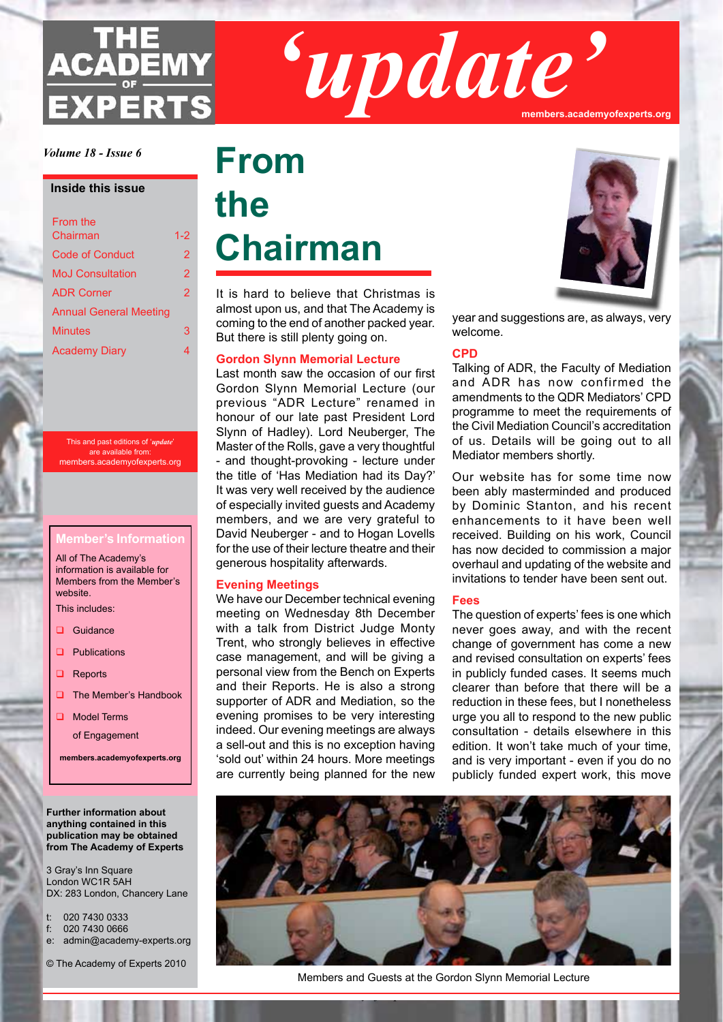# **ADEMY EXPERTS**

*'update'* **members.academyofexperts.org**

*Volume 18 - Issue 6*

#### **Inside this issue**

| From the                      |         |
|-------------------------------|---------|
| Chairman                      | $1 - 2$ |
| Code of Conduct               | 2       |
| <b>MoJ Consultation</b>       | 2       |
| <b>ADR Corner</b>             | 2       |
| <b>Annual General Meeting</b> |         |
| <b>Minutes</b>                | 3       |
| <b>Academy Diary</b>          | 4       |

This and past editions of '*update*' are available from: members.academyofexperts.org

#### **Member's Information**

All of The Academy's information is available for Members from the Member's website.

This includes:

- Guidance
- $\Box$  Publications
- $\Box$  Reports
- $\Box$  The Member's Handbook
- $\Box$  Model Terms

of Engagement

**members.academyofexperts.org**

#### **Further information about anything contained in this publication may be obtained from The Academy of Experts**

3 Gray's Inn Square London WC1R 5AH DX: 283 London, Chancery Lane

- t: 020 7430 0333
- f: 020 7430 0666
- e: admin@academy-experts.org
- © The Academy of Experts 2010

## **From the Chairman**

It is hard to believe that Christmas is almost upon us, and that The Academy is coming to the end of another packed year. But there is still plenty going on.

#### **Gordon Slynn Memorial Lecture**

Last month saw the occasion of our first Gordon Slynn Memorial Lecture (our previous "ADR Lecture" renamed in honour of our late past President Lord Slynn of Hadley). Lord Neuberger, The Master of the Rolls, gave a very thoughtful - and thought-provoking - lecture under the title of 'Has Mediation had its Day?' It was very well received by the audience of especially invited guests and Academy members, and we are very grateful to David Neuberger - and to Hogan Lovells for the use of their lecture theatre and their generous hospitality afterwards.

#### **Evening Meetings**

We have our December technical evening meeting on Wednesday 8th December with a talk from District Judge Monty Trent, who strongly believes in effective case management, and will be giving a personal view from the Bench on Experts and their Reports. He is also a strong supporter of ADR and Mediation, so the evening promises to be very interesting indeed. Our evening meetings are always a sell-out and this is no exception having 'sold out' within 24 hours. More meetings are currently being planned for the new



year and suggestions are, as always, very welcome.

#### **CPD**

Talking of ADR, the Faculty of Mediation and ADR has now confirmed the amendments to the QDR Mediators' CPD programme to meet the requirements of the Civil Mediation Council's accreditation of us. Details will be going out to all Mediator members shortly.

Our website has for some time now been ably masterminded and produced by Dominic Stanton, and his recent enhancements to it have been well received. Building on his work, Council has now decided to commission a major overhaul and updating of the website and invitations to tender have been sent out.

#### **Fees**

The question of experts' fees is one which never goes away, and with the recent change of government has come a new and revised consultation on experts' fees in publicly funded cases. It seems much clearer than before that there will be a reduction in these fees, but I nonetheless urge you all to respond to the new public consultation - details elsewhere in this edition. It won't take much of your time, and is very important - even if you do no publicly funded expert work, this move



Members and Guests at the Gordon Slynn Memorial Lecture

*The Academy of Experts*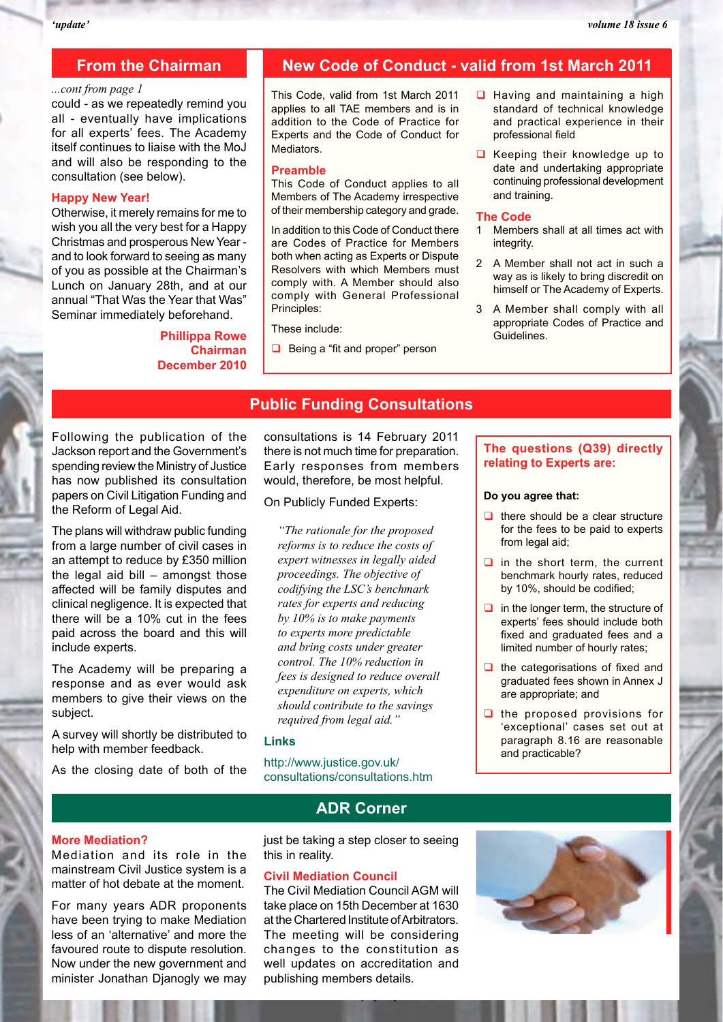#### **From the Chairman**

#### *...cont from page 1*

could - as we repeatedly remind you all - eventually have implications for all experts' fees. The Academy itself continues to liaise with the MoJ and will also be responding to the consultation (see below).

#### **Happy New Year!**

Otherwise, it merely remains for me to wish you all the very best for a Happy Christmas and prosperous New Year and to look forward to seeing as many of you as possible at the Chairman's Lunch on January 28th, and at our annual "That Was the Year that Was" Seminar immediately beforehand.

#### **Phillippa Rowe Chairman December 2010**

#### **New Code of Conduct - valid from 1st March 2011**

This Code, valid from 1st March 2011 applies to all TAE members and is in addition to the Code of Practice for Experts and the Code of Conduct for Mediators.

#### **Preamble**

This Code of Conduct applies to all Members of The Academy irrespective of their membership category and grade.

In addition to this Code of Conduct there are Codes of Practice for Members both when acting as Experts or Dispute Resolvers with which Members must comply with. A Member should also comply with General Professional Principles:

#### These include:

 $\Box$  Being a "fit and proper" person

- $\Box$  Having and maintaining a high standard of technical knowledge and practical experience in their professional field
- $\Box$  Keeping their knowledge up to date and undertaking appropriate continuing professional development and training.

#### **The Code**

- 1 Members shall at all times act with integrity.
- 2 A Member shall not act in such a way as is likely to bring discredit on himself or The Academy of Experts.
- 3 A Member shall comply with all appropriate Codes of Practice and Guidelines.

#### **Public Funding Consultations**

Following the publication of the Jackson report and the Government's spending review the Ministry of Justice has now published its consultation papers on Civil Litigation Funding and the Reform of Legal Aid.

The plans will withdraw public funding from a large number of civil cases in an attempt to reduce by £350 million the legal aid bill – amongst those affected will be family disputes and clinical negligence. It is expected that there will be a 10% cut in the fees paid across the board and this will include experts.

The Academy will be preparing a response and as ever would ask members to give their views on the subject.

A survey will shortly be distributed to help with member feedback.

As the closing date of both of the

consultations is 14 February 2011 there is not much time for preparation. Early responses from members would, therefore, be most helpful.

On Publicly Funded Experts:

*"The rationale for the proposed reforms is to reduce the costs of expert witnesses in legally aided proceedings. The objective of codifying the LSC's benchmark rates for experts and reducing by 10% is to make payments to experts more predictable and bring costs under greater control. The 10% reduction in fees is designed to reduce overall expenditure on experts, which should contribute to the savings required from legal aid."*

#### **Links**

http://www.justice.gov.uk/ consultations/consultations.htm

#### **The questions (Q39) directly relating to Experts are:**

#### **Do you agree that:**

- $\Box$  there should be a clear structure for the fees to be paid to experts from legal aid;
- $\Box$  in the short term, the current benchmark hourly rates, reduced by 10%, should be codified;
- $\Box$  in the longer term, the structure of experts' fees should include both fixed and graduated fees and a limited number of hourly rates;
- $\Box$  the categorisations of fixed and graduated fees shown in Annex J are appropriate; and
- $\Box$  the proposed provisions for 'exceptional' cases set out at paragraph 8.16 are reasonable and practicable?

#### **More Mediation?**

Mediation and its role in the mainstream Civil Justice system is a matter of hot debate at the moment.

For many years ADR proponents have been trying to make Mediation less of an 'alternative' and more the favoured route to dispute resolution. Now under the new government and minister Jonathan Djanogly we may **ADR Corner**

just be taking a step closer to seeing this in reality.

#### **Civil Mediation Council**

The Civil Mediation Council AGM will take place on 15th December at 1630 at the Chartered Institute of Arbitrators. The meeting will be considering changes to the constitution as well updates on accreditation and publishing members details.

*The Academy of Experts*

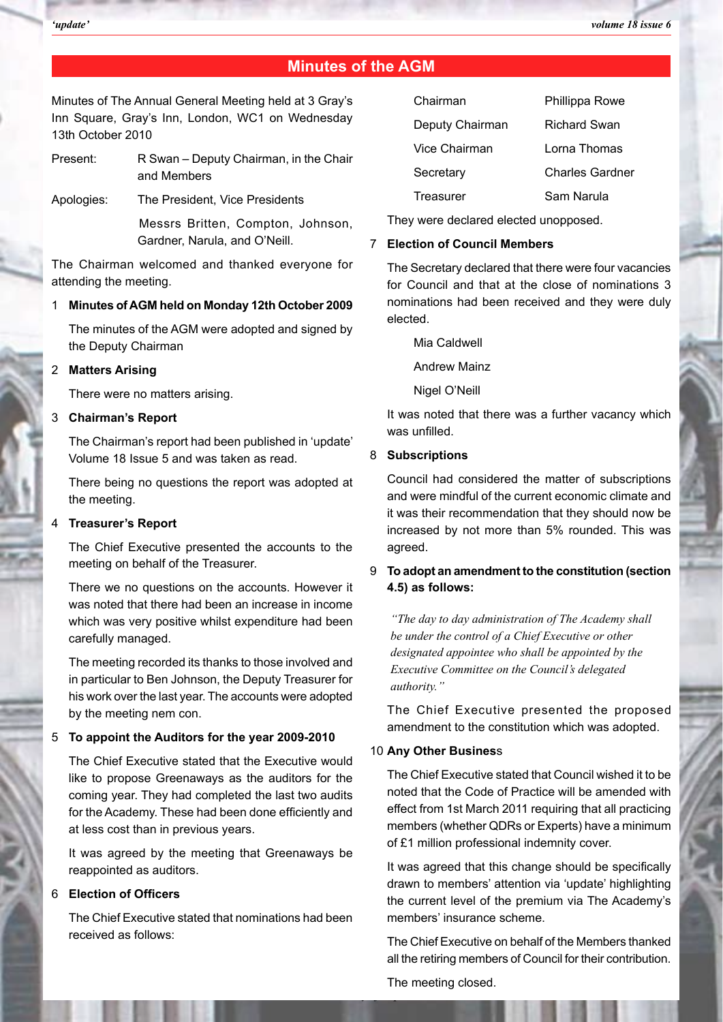#### **Minutes of the AGM**

Minutes of The Annual General Meeting held at 3 Gray's Inn Square, Gray's Inn, London, WC1 on Wednesday 13th October 2010

Present: R Swan – Deputy Chairman, in the Chair and Members

Apologies: The President, Vice Presidents

Messrs Britten, Compton, Johnson, Gardner, Narula, and O'Neill.

The Chairman welcomed and thanked everyone for attending the meeting.

#### 1 **Minutes of AGM held on Monday 12th October 2009**

The minutes of the AGM were adopted and signed by the Deputy Chairman

#### 2 **Matters Arising**

There were no matters arising.

#### 3 **Chairman's Report**

The Chairman's report had been published in 'update' Volume 18 Issue 5 and was taken as read.

There being no questions the report was adopted at the meeting.

#### 4 **Treasurer's Report**

The Chief Executive presented the accounts to the meeting on behalf of the Treasurer.

There we no questions on the accounts. However it was noted that there had been an increase in income which was very positive whilst expenditure had been carefully managed.

The meeting recorded its thanks to those involved and in particular to Ben Johnson, the Deputy Treasurer for his work over the last year. The accounts were adopted by the meeting nem con.

#### 5 **To appoint the Auditors for the year 2009-2010**

The Chief Executive stated that the Executive would like to propose Greenaways as the auditors for the coming year. They had completed the last two audits for the Academy. These had been done efficiently and at less cost than in previous years.

It was agreed by the meeting that Greenaways be reappointed as auditors.

#### 6 **Election of Officers**

The Chief Executive stated that nominations had been received as follows:

| Chairman        | Phillippa Rowe  |
|-----------------|-----------------|
| Deputy Chairman | Richard Swan    |
| Vice Chairman   | Lorna Thomas    |
| Secretary       | Charles Gardner |
| Treasurer       | Sam Narula      |

They were declared elected unopposed.

#### 7 **Election of Council Members**

The Secretary declared that there were four vacancies for Council and that at the close of nominations 3 nominations had been received and they were duly elected.

Mia Caldwell

Andrew Mainz

Nigel O'Neill

It was noted that there was a further vacancy which was unfilled.

#### 8 **Subscriptions**

Council had considered the matter of subscriptions and were mindful of the current economic climate and it was their recommendation that they should now be increased by not more than 5% rounded. This was agreed.

#### 9 **To adopt an amendment to the constitution (section 4.5) as follows:**

*"The day to day administration of The Academy shall be under the control of a Chief Executive or other designated appointee who shall be appointed by the Executive Committee on the Council's delegated authority."*

The Chief Executive presented the proposed amendment to the constitution which was adopted.

#### 10 **Any Other Busines**s

The Chief Executive stated that Council wished it to be noted that the Code of Practice will be amended with effect from 1st March 2011 requiring that all practicing members (whether QDRs or Experts) have a minimum of £1 million professional indemnity cover.

It was agreed that this change should be specifically drawn to members' attention via 'update' highlighting the current level of the premium via The Academy's members' insurance scheme.

The Chief Executive on behalf of the Members thanked all the retiring members of Council for their contribution.

The meeting closed.

*The Academy of Experts*